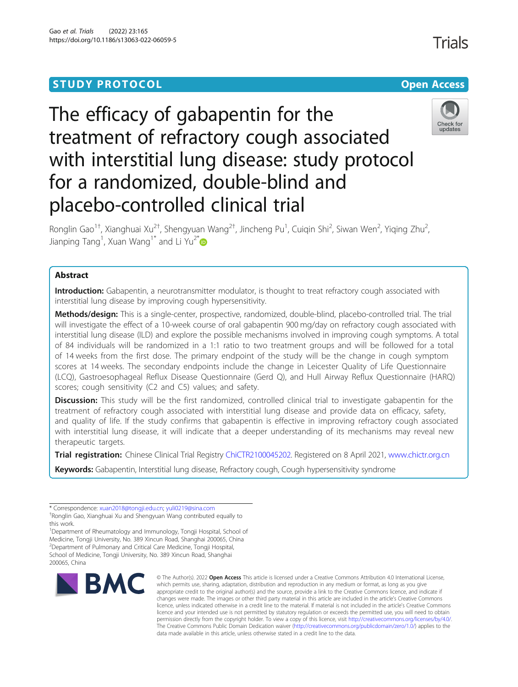## **STUDY PROTOCOL CONSUMING THE RESERVE ACCESS**

Trials



# The efficacy of gabapentin for the treatment of refractory cough associated with interstitial lung disease: study protocol for a randomized, double-blind and placebo-controlled clinical trial



Ronglin Gao<sup>1†</sup>, Xianghuai Xu<sup>2†</sup>, Shengyuan Wang<sup>2†</sup>, Jincheng Pu<sup>1</sup>, Cuiqin Shi<sup>2</sup>, Siwan Wen<sup>2</sup>, Yiqing Zhu<sup>2</sup> .<br>, Jianping Tang<sup>1</sup>, Xuan Wang<sup>1[\\*](http://orcid.org/0000-0003-4469-4756)</sup> and Li Yu<sup>2\*</sup>

## Abstract

Introduction: Gabapentin, a neurotransmitter modulator, is thought to treat refractory cough associated with interstitial lung disease by improving cough hypersensitivity.

Methods/design: This is a single-center, prospective, randomized, double-blind, placebo-controlled trial. The trial will investigate the effect of a 10-week course of oral gabapentin 900 mg/day on refractory cough associated with interstitial lung disease (ILD) and explore the possible mechanisms involved in improving cough symptoms. A total of 84 individuals will be randomized in a 1:1 ratio to two treatment groups and will be followed for a total of 14 weeks from the first dose. The primary endpoint of the study will be the change in cough symptom scores at 14 weeks. The secondary endpoints include the change in Leicester Quality of Life Questionnaire (LCQ), Gastroesophageal Reflux Disease Questionnaire (Gerd Q), and Hull Airway Reflux Questionnaire (HARQ) scores; cough sensitivity (C2 and C5) values; and safety.

**Discussion:** This study will be the first randomized, controlled clinical trial to investigate gabapentin for the treatment of refractory cough associated with interstitial lung disease and provide data on efficacy, safety, and quality of life. If the study confirms that gabapentin is effective in improving refractory cough associated with interstitial lung disease, it will indicate that a deeper understanding of its mechanisms may reveal new therapeutic targets.

Trial registration: Chinese Clinical Trial Registry [ChiCTR2100045202](http://www.chictr.org.cn/showproj.aspx?proj=124673). Registered on 8 April 2021, [www.chictr.org.cn](http://www.chictr.org.cn)

Keywords: Gabapentin, Interstitial lung disease, Refractory cough, Cough hypersensitivity syndrome

<sup>1</sup>Department of Rheumatology and Immunology, Tongji Hospital, School of Medicine, Tongji University, No. 389 Xincun Road, Shanghai 200065, China 2 Department of Pulmonary and Critical Care Medicine, Tongji Hospital, School of Medicine, Tongji University, No. 389 Xincun Road, Shanghai 200065, China



© The Author(s). 2022 Open Access This article is licensed under a Creative Commons Attribution 4.0 International License, which permits use, sharing, adaptation, distribution and reproduction in any medium or format, as long as you give appropriate credit to the original author(s) and the source, provide a link to the Creative Commons licence, and indicate if changes were made. The images or other third party material in this article are included in the article's Creative Commons licence, unless indicated otherwise in a credit line to the material. If material is not included in the article's Creative Commons licence and your intended use is not permitted by statutory regulation or exceeds the permitted use, you will need to obtain permission directly from the copyright holder. To view a copy of this licence, visit [http://creativecommons.org/licenses/by/4.0/.](http://creativecommons.org/licenses/by/4.0/) The Creative Commons Public Domain Dedication waiver [\(http://creativecommons.org/publicdomain/zero/1.0/](http://creativecommons.org/publicdomain/zero/1.0/)) applies to the data made available in this article, unless otherwise stated in a credit line to the data.

<sup>\*</sup> Correspondence: [xuan2018@tongji.edu.cn;](mailto:xuan2018@tongji.edu.cn) [yuli0219@sina.com](mailto:yuli0219@sina.com) †

Ronglin Gao, Xianghuai Xu and Shengyuan Wang contributed equally to this work.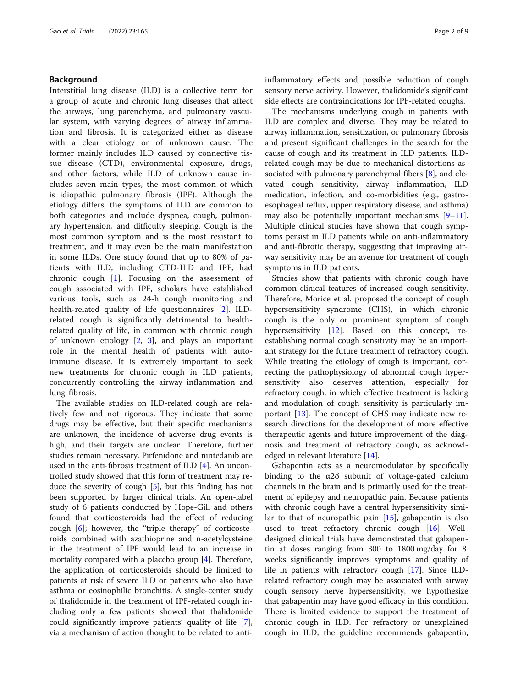## Background

Interstitial lung disease (ILD) is a collective term for a group of acute and chronic lung diseases that affect the airways, lung parenchyma, and pulmonary vascular system, with varying degrees of airway inflammation and fibrosis. It is categorized either as disease with a clear etiology or of unknown cause. The former mainly includes ILD caused by connective tissue disease (CTD), environmental exposure, drugs, and other factors, while ILD of unknown cause includes seven main types, the most common of which is idiopathic pulmonary fibrosis (IPF). Although the etiology differs, the symptoms of ILD are common to both categories and include dyspnea, cough, pulmonary hypertension, and difficulty sleeping. Cough is the most common symptom and is the most resistant to treatment, and it may even be the main manifestation in some ILDs. One study found that up to 80% of patients with ILD, including CTD-ILD and IPF, had chronic cough  $[1]$  $[1]$ . Focusing on the assessment of cough associated with IPF, scholars have established various tools, such as 24-h cough monitoring and health-related quality of life questionnaires [[2\]](#page-8-0). ILDrelated cough is significantly detrimental to healthrelated quality of life, in common with chronic cough of unknown etiology [[2,](#page-8-0) [3\]](#page-8-0), and plays an important role in the mental health of patients with autoimmune disease. It is extremely important to seek new treatments for chronic cough in ILD patients, concurrently controlling the airway inflammation and lung fibrosis.

The available studies on ILD-related cough are relatively few and not rigorous. They indicate that some drugs may be effective, but their specific mechanisms are unknown, the incidence of adverse drug events is high, and their targets are unclear. Therefore, further studies remain necessary. Pirfenidone and nintedanib are used in the anti-fibrosis treatment of ILD [[4\]](#page-8-0). An uncontrolled study showed that this form of treatment may reduce the severity of cough [[5\]](#page-8-0), but this finding has not been supported by larger clinical trials. An open-label study of 6 patients conducted by Hope-Gill and others found that corticosteroids had the effect of reducing cough [[6\]](#page-8-0); however, the "triple therapy" of corticosteroids combined with azathioprine and n-acetylcysteine in the treatment of IPF would lead to an increase in mortality compared with a placebo group [[4](#page-8-0)]. Therefore, the application of corticosteroids should be limited to patients at risk of severe ILD or patients who also have asthma or eosinophilic bronchitis. A single-center study of thalidomide in the treatment of IPF-related cough including only a few patients showed that thalidomide could significantly improve patients' quality of life [\[7](#page-8-0)], via a mechanism of action thought to be related to antiinflammatory effects and possible reduction of cough sensory nerve activity. However, thalidomide's significant side effects are contraindications for IPF-related coughs.

The mechanisms underlying cough in patients with ILD are complex and diverse. They may be related to airway inflammation, sensitization, or pulmonary fibrosis and present significant challenges in the search for the cause of cough and its treatment in ILD patients. ILDrelated cough may be due to mechanical distortions associated with pulmonary parenchymal fibers [[8](#page-8-0)], and elevated cough sensitivity, airway inflammation, ILD medication, infection, and co-morbidities (e.g., gastroesophageal reflux, upper respiratory disease, and asthma) may also be potentially important mechanisms  $[9-11]$  $[9-11]$  $[9-11]$  $[9-11]$  $[9-11]$ . Multiple clinical studies have shown that cough symptoms persist in ILD patients while on anti-inflammatory and anti-fibrotic therapy, suggesting that improving airway sensitivity may be an avenue for treatment of cough symptoms in ILD patients.

Studies show that patients with chronic cough have common clinical features of increased cough sensitivity. Therefore, Morice et al. proposed the concept of cough hypersensitivity syndrome (CHS), in which chronic cough is the only or prominent symptom of cough hypersensitivity [[12\]](#page-8-0). Based on this concept, reestablishing normal cough sensitivity may be an important strategy for the future treatment of refractory cough. While treating the etiology of cough is important, correcting the pathophysiology of abnormal cough hypersensitivity also deserves attention, especially for refractory cough, in which effective treatment is lacking and modulation of cough sensitivity is particularly important [[13](#page-8-0)]. The concept of CHS may indicate new research directions for the development of more effective therapeutic agents and future improvement of the diagnosis and treatment of refractory cough, as acknowledged in relevant literature [\[14](#page-8-0)].

Gabapentin acts as a neuromodulator by specifically binding to the  $\alpha$ 2 $\delta$  subunit of voltage-gated calcium channels in the brain and is primarily used for the treatment of epilepsy and neuropathic pain. Because patients with chronic cough have a central hypersensitivity similar to that of neuropathic pain [\[15](#page-8-0)], gabapentin is also used to treat refractory chronic cough [\[16\]](#page-8-0). Welldesigned clinical trials have demonstrated that gabapentin at doses ranging from 300 to 1800 mg/day for 8 weeks significantly improves symptoms and quality of life in patients with refractory cough [\[17](#page-8-0)]. Since ILDrelated refractory cough may be associated with airway cough sensory nerve hypersensitivity, we hypothesize that gabapentin may have good efficacy in this condition. There is limited evidence to support the treatment of chronic cough in ILD. For refractory or unexplained cough in ILD, the guideline recommends gabapentin,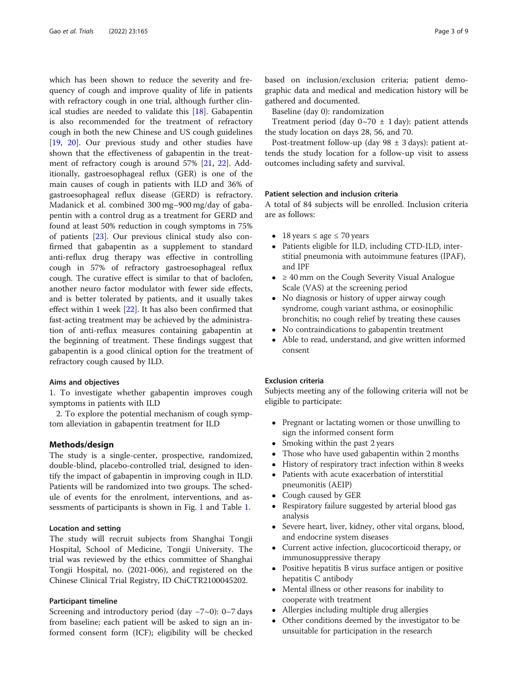which has been shown to reduce the severity and frequency of cough and improve quality of life in patients with refractory cough in one trial, although further clinical studies are needed to validate this [\[18](#page-8-0)]. Gabapentin is also recommended for the treatment of refractory cough in both the new Chinese and US cough guidelines [[19,](#page-8-0) [20\]](#page-8-0). Our previous study and other studies have shown that the effectiveness of gabapentin in the treatment of refractory cough is around 57% [\[21](#page-8-0), [22](#page-8-0)]. Additionally, gastroesophageal reflux (GER) is one of the main causes of cough in patients with ILD and 36% of gastroesophageal reflux disease (GERD) is refractory. Madanick et al. combined 300 mg–900 mg/day of gabapentin with a control drug as a treatment for GERD and found at least 50% reduction in cough symptoms in 75% of patients [[23\]](#page-8-0). Our previous clinical study also confirmed that gabapentin as a supplement to standard anti-reflux drug therapy was effective in controlling cough in 57% of refractory gastroesophageal reflux cough. The curative effect is similar to that of baclofen, another neuro factor modulator with fewer side effects, and is better tolerated by patients, and it usually takes effect within 1 week [[22\]](#page-8-0). It has also been confirmed that fast-acting treatment may be achieved by the administration of anti-reflux measures containing gabapentin at the beginning of treatment. These findings suggest that gabapentin is a good clinical option for the treatment of refractory cough caused by ILD.

#### Aims and objectives

1. To investigate whether gabapentin improves cough symptoms in patients with ILD

2. To explore the potential mechanism of cough symptom alleviation in gabapentin treatment for ILD

## Methods/design

The study is a single-center, prospective, randomized, double-blind, placebo-controlled trial, designed to identify the impact of gabapentin in improving cough in ILD. Patients will be randomized into two groups. The schedule of events for the enrolment, interventions, and assessments of participants is shown in Fig. [1](#page-3-0) and Table [1.](#page-4-0)

#### Location and setting

The study will recruit subjects from Shanghai Tongji Hospital, School of Medicine, Tongji University. The trial was reviewed by the ethics committee of Shanghai Tongji Hospital, no. (2021-006), and registered on the Chinese Clinical Trial Registry, ID ChiCTR2100045202.

## Participant timeline

Screening and introductory period (day −7~0): 0–7 days from baseline; each patient will be asked to sign an informed consent form (ICF); eligibility will be checked based on inclusion/exclusion criteria; patient demographic data and medical and medication history will be gathered and documented.

Baseline (day 0): randomization

Treatment period (day  $0 \sim 70 \pm 1$  day): patient attends the study location on days 28, 56, and 70.

Post-treatment follow-up (day  $98 \pm 3$  days): patient attends the study location for a follow-up visit to assess outcomes including safety and survival.

#### Patient selection and inclusion criteria

A total of 84 subjects will be enrolled. Inclusion criteria are as follows:

- 18 years  $\leq$  age  $\leq$  70 years
- Patients eligible for ILD, including CTD-ILD, interstitial pneumonia with autoimmune features (IPAF), and IPF
- ≥ 40 mm on the Cough Severity Visual Analogue Scale (VAS) at the screening period
- No diagnosis or history of upper airway cough syndrome, cough variant asthma, or eosinophilic bronchitis; no cough relief by treating these causes
- No contraindications to gabapentin treatment
- Able to read, understand, and give written informed consent

## Exclusion criteria

Subjects meeting any of the following criteria will not be eligible to participate:

- Pregnant or lactating women or those unwilling to sign the informed consent form
- Smoking within the past 2 years<br>• Those who have used gabapenti
- Those who have used gabapentin within 2 months
- History of respiratory tract infection within 8 weeks
- Patients with acute exacerbation of interstitial pneumonitis (AEIP)
- Cough caused by GER
- Respiratory failure suggested by arterial blood gas analysis
- Severe heart, liver, kidney, other vital organs, blood, and endocrine system diseases
- Current active infection, glucocorticoid therapy, or immunosuppressive therapy
- Positive hepatitis B virus surface antigen or positive hepatitis C antibody
- Mental illness or other reasons for inability to cooperate with treatment
- Allergies including multiple drug allergies
- Other conditions deemed by the investigator to be unsuitable for participation in the research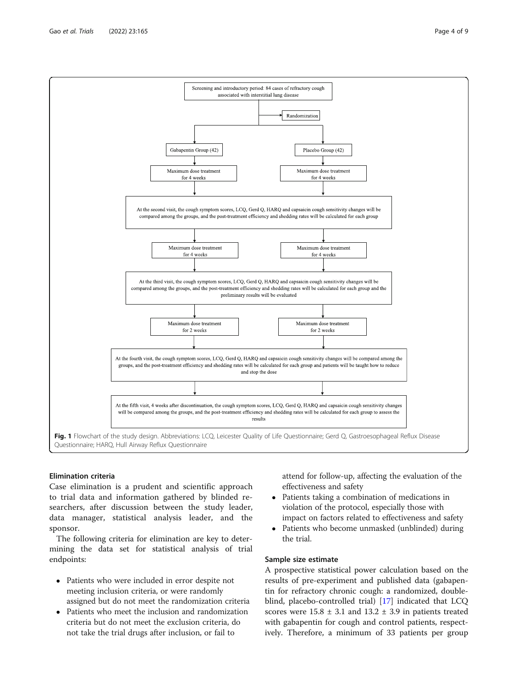## Elimination criteria

Case elimination is a prudent and scientific approach to trial data and information gathered by blinded researchers, after discussion between the study leader, data manager, statistical analysis leader, and the sponsor.

The following criteria for elimination are key to determining the data set for statistical analysis of trial endpoints:

- Patients who were included in error despite not meeting inclusion criteria, or were randomly assigned but do not meet the randomization criteria
- Patients who meet the inclusion and randomization criteria but do not meet the exclusion criteria, do not take the trial drugs after inclusion, or fail to

attend for follow-up, affecting the evaluation of the effectiveness and safety

- Patients taking a combination of medications in violation of the protocol, especially those with impact on factors related to effectiveness and safety
- Patients who become unmasked (unblinded) during the trial.

## Sample size estimate

A prospective statistical power calculation based on the results of pre-experiment and published data (gabapentin for refractory chronic cough: a randomized, doubleblind, placebo-controlled trial) [[17](#page-8-0)] indicated that LCQ scores were  $15.8 \pm 3.1$  and  $13.2 \pm 3.9$  in patients treated with gabapentin for cough and control patients, respectively. Therefore, a minimum of 33 patients per group

<span id="page-3-0"></span>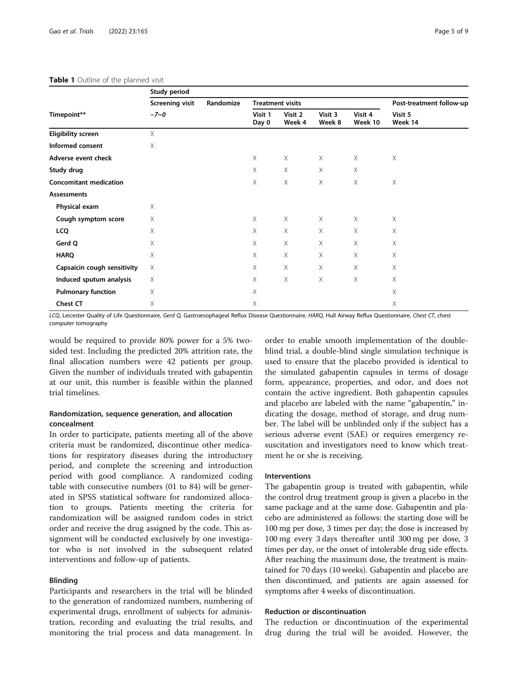<span id="page-4-0"></span>

| Timepoint**                   | Study period                       |           |                         |                   |                   |                    |                          |
|-------------------------------|------------------------------------|-----------|-------------------------|-------------------|-------------------|--------------------|--------------------------|
|                               | <b>Screening visit</b><br>$-7 - 0$ | Randomize | <b>Treatment visits</b> |                   |                   |                    | Post-treatment follow-up |
|                               |                                    |           | Visit 1<br>Day 0        | Visit 2<br>Week 4 | Visit 3<br>Week 8 | Visit 4<br>Week 10 | Visit 5<br>Week 14       |
| <b>Eligibility screen</b>     | X                                  |           |                         |                   |                   |                    |                          |
| Informed consent              | Χ                                  |           |                         |                   |                   |                    |                          |
| Adverse event check           |                                    |           | $\times$                | $\times$          | $\times$          | $\times$           | $\times$                 |
| Study drug                    |                                    |           | X                       | X                 | X                 | X                  |                          |
| <b>Concomitant medication</b> |                                    |           | X                       | Χ                 | X                 | $\times$           | Χ                        |
| <b>Assessments</b>            |                                    |           |                         |                   |                   |                    |                          |
| Physical exam                 | Χ                                  |           |                         |                   |                   |                    |                          |
| Cough symptom score           | X                                  |           | $\times$                | $\times$          | $\times$          | X                  | $\times$                 |
| <b>LCQ</b>                    | X                                  |           | X                       | X                 | X                 | X                  | X                        |
| Gerd Q                        | Χ                                  |           | X                       | $\times$          | $\times$          | $\times$           | X                        |
| <b>HARQ</b>                   | Χ                                  |           | X                       | Χ                 | X                 | X                  | X                        |
| Capsaicin cough sensitivity   | Χ                                  |           | Χ                       | Χ                 | Χ                 | X                  | X                        |
| Induced sputum analysis       | Χ                                  |           | Χ                       | Χ                 | Χ                 | $\times$           | Χ                        |
| <b>Pulmonary function</b>     | Χ                                  |           | Χ                       |                   |                   |                    | Χ                        |
| <b>Chest CT</b>               | Χ                                  |           | X                       |                   |                   |                    | X                        |

LCQ, Leicester Quality of Life Questionnaire, Gerd Q, Gastroesophageal Reflux Disease Questionnaire, HARQ, Hull Airway Reflux Questionnaire, Chest CT, chest computer tomography

would be required to provide 80% power for a 5% twosided test. Including the predicted 20% attrition rate, the final allocation numbers were 42 patients per group. Given the number of individuals treated with gabapentin at our unit, this number is feasible within the planned trial timelines.

## Randomization, sequence generation, and allocation concealment

In order to participate, patients meeting all of the above criteria must be randomized, discontinue other medications for respiratory diseases during the introductory period, and complete the screening and introduction period with good compliance. A randomized coding table with consecutive numbers (01 to 84) will be generated in SPSS statistical software for randomized allocation to groups. Patients meeting the criteria for randomization will be assigned random codes in strict order and receive the drug assigned by the code. This assignment will be conducted exclusively by one investigator who is not involved in the subsequent related interventions and follow-up of patients.

## Blinding

Participants and researchers in the trial will be blinded to the generation of randomized numbers, numbering of experimental drugs, enrollment of subjects for administration, recording and evaluating the trial results, and monitoring the trial process and data management. In

order to enable smooth implementation of the doubleblind trial, a double-blind single simulation technique is used to ensure that the placebo provided is identical to the simulated gabapentin capsules in terms of dosage form, appearance, properties, and odor, and does not contain the active ingredient. Both gabapentin capsules and placebo are labeled with the name "gabapentin," indicating the dosage, method of storage, and drug number. The label will be unblinded only if the subject has a serious adverse event (SAE) or requires emergency resuscitation and investigators need to know which treatment he or she is receiving.

## **Interventions**

The gabapentin group is treated with gabapentin, while the control drug treatment group is given a placebo in the same package and at the same dose. Gabapentin and placebo are administered as follows: the starting dose will be 100 mg per dose, 3 times per day; the dose is increased by 100 mg every 3 days thereafter until 300 mg per dose, 3 times per day, or the onset of intolerable drug side effects. After reaching the maximum dose, the treatment is maintained for 70 days (10 weeks). Gabapentin and placebo are then discontinued, and patients are again assessed for symptoms after 4 weeks of discontinuation.

## Reduction or discontinuation

The reduction or discontinuation of the experimental drug during the trial will be avoided. However, the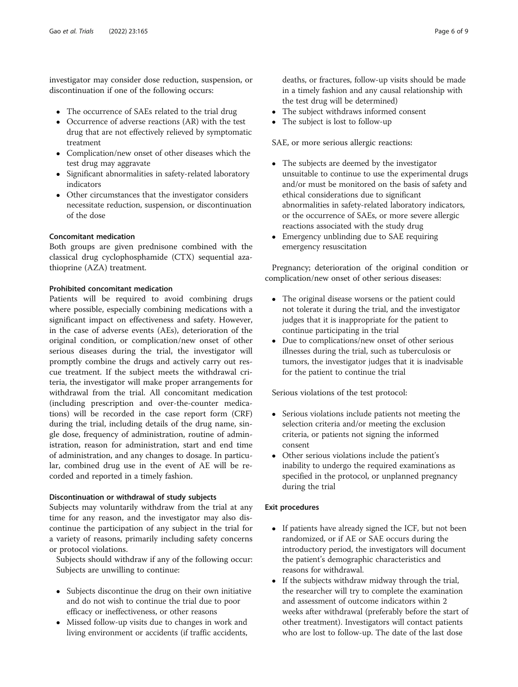investigator may consider dose reduction, suspension, or discontinuation if one of the following occurs:

- The occurrence of SAEs related to the trial drug
- Occurrence of adverse reactions (AR) with the test drug that are not effectively relieved by symptomatic treatment
- Complication/new onset of other diseases which the test drug may aggravate
- Significant abnormalities in safety-related laboratory indicators
- Other circumstances that the investigator considers necessitate reduction, suspension, or discontinuation of the dose

## Concomitant medication

Both groups are given prednisone combined with the classical drug cyclophosphamide (CTX) sequential azathioprine (AZA) treatment.

## Prohibited concomitant medication

Patients will be required to avoid combining drugs where possible, especially combining medications with a significant impact on effectiveness and safety. However, in the case of adverse events (AEs), deterioration of the original condition, or complication/new onset of other serious diseases during the trial, the investigator will promptly combine the drugs and actively carry out rescue treatment. If the subject meets the withdrawal criteria, the investigator will make proper arrangements for withdrawal from the trial. All concomitant medication (including prescription and over-the-counter medications) will be recorded in the case report form (CRF) during the trial, including details of the drug name, single dose, frequency of administration, routine of administration, reason for administration, start and end time of administration, and any changes to dosage. In particular, combined drug use in the event of AE will be recorded and reported in a timely fashion.

## Discontinuation or withdrawal of study subjects

Subjects may voluntarily withdraw from the trial at any time for any reason, and the investigator may also discontinue the participation of any subject in the trial for a variety of reasons, primarily including safety concerns or protocol violations.

Subjects should withdraw if any of the following occur: Subjects are unwilling to continue:

- Subjects discontinue the drug on their own initiative and do not wish to continue the trial due to poor efficacy or ineffectiveness, or other reasons
- Missed follow-up visits due to changes in work and living environment or accidents (if traffic accidents,

deaths, or fractures, follow-up visits should be made in a timely fashion and any causal relationship with the test drug will be determined)

- The subject withdraws informed consent
- The subject is lost to follow-up

SAE, or more serious allergic reactions:

- The subjects are deemed by the investigator unsuitable to continue to use the experimental drugs and/or must be monitored on the basis of safety and ethical considerations due to significant abnormalities in safety-related laboratory indicators, or the occurrence of SAEs, or more severe allergic reactions associated with the study drug
- Emergency unblinding due to SAE requiring emergency resuscitation

Pregnancy; deterioration of the original condition or complication/new onset of other serious diseases:

- The original disease worsens or the patient could not tolerate it during the trial, and the investigator judges that it is inappropriate for the patient to continue participating in the trial
- Due to complications/new onset of other serious illnesses during the trial, such as tuberculosis or tumors, the investigator judges that it is inadvisable for the patient to continue the trial

Serious violations of the test protocol:

- Serious violations include patients not meeting the selection criteria and/or meeting the exclusion criteria, or patients not signing the informed consent
- Other serious violations include the patient's inability to undergo the required examinations as specified in the protocol, or unplanned pregnancy during the trial

## Exit procedures

- If patients have already signed the ICF, but not been randomized, or if AE or SAE occurs during the introductory period, the investigators will document the patient's demographic characteristics and reasons for withdrawal.
- If the subjects withdraw midway through the trial, the researcher will try to complete the examination and assessment of outcome indicators within 2 weeks after withdrawal (preferably before the start of other treatment). Investigators will contact patients who are lost to follow-up. The date of the last dose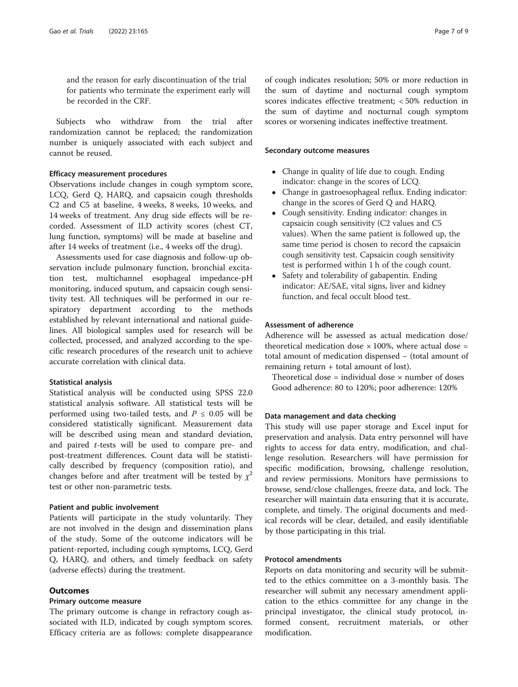and the reason for early discontinuation of the trial for patients who terminate the experiment early will be recorded in the CRF.

Subjects who withdraw from the trial after randomization cannot be replaced; the randomization number is uniquely associated with each subject and cannot be reused.

## Efficacy measurement procedures

Observations include changes in cough symptom score, LCQ, Gerd Q, HARQ, and capsaicin cough thresholds C2 and C5 at baseline, 4 weeks, 8 weeks, 10 weeks, and 14 weeks of treatment. Any drug side effects will be recorded. Assessment of ILD activity scores (chest CT, lung function, symptoms) will be made at baseline and after 14 weeks of treatment (i.e., 4 weeks off the drug).

Assessments used for case diagnosis and follow-up observation include pulmonary function, bronchial excitation test, multichannel esophageal impedance-pH monitoring, induced sputum, and capsaicin cough sensitivity test. All techniques will be performed in our respiratory department according to the methods established by relevant international and national guidelines. All biological samples used for research will be collected, processed, and analyzed according to the specific research procedures of the research unit to achieve accurate correlation with clinical data.

#### Statistical analysis

Statistical analysis will be conducted using SPSS 22.0 statistical analysis software. All statistical tests will be performed using two-tailed tests, and  $P \leq 0.05$  will be considered statistically significant. Measurement data will be described using mean and standard deviation, and paired t-tests will be used to compare pre- and post-treatment differences. Count data will be statistically described by frequency (composition ratio), and changes before and after treatment will be tested by  $\chi^2$ test or other non-parametric tests.

#### Patient and public involvement

Patients will participate in the study voluntarily. They are not involved in the design and dissemination plans of the study. Some of the outcome indicators will be patient-reported, including cough symptoms, LCQ, Gerd Q, HARQ, and others, and timely feedback on safety (adverse effects) during the treatment.

## **Outcomes**

### Primary outcome measure

The primary outcome is change in refractory cough associated with ILD, indicated by cough symptom scores. Efficacy criteria are as follows: complete disappearance of cough indicates resolution; 50% or more reduction in the sum of daytime and nocturnal cough symptom scores indicates effective treatment; < 50% reduction in the sum of daytime and nocturnal cough symptom scores or worsening indicates ineffective treatment.

#### Secondary outcome measures

- Change in quality of life due to cough. Ending indicator: change in the scores of LCQ.
- Change in gastroesophageal reflux. Ending indicator: change in the scores of Gerd Q and HARQ.
- Cough sensitivity. Ending indicator: changes in capsaicin cough sensitivity (C2 values and C5 values). When the same patient is followed up, the same time period is chosen to record the capsaicin cough sensitivity test. Capsaicin cough sensitivity test is performed within 1 h of the cough count.
- Safety and tolerability of gabapentin. Ending indicator: AE/SAE, vital signs, liver and kidney function, and fecal occult blood test.

#### Assessment of adherence

Adherence will be assessed as actual medication dose/ theoretical medication dose  $\times$  100%, where actual dose = total amount of medication dispensed − (total amount of remaining return + total amount of lost).

Theoretical dose = individual dose  $\times$  number of doses Good adherence: 80 to 120%; poor adherence: 120%

#### Data management and data checking

This study will use paper storage and Excel input for preservation and analysis. Data entry personnel will have rights to access for data entry, modification, and challenge resolution. Researchers will have permission for specific modification, browsing, challenge resolution, and review permissions. Monitors have permissions to browse, send/close challenges, freeze data, and lock. The researcher will maintain data ensuring that it is accurate, complete, and timely. The original documents and medical records will be clear, detailed, and easily identifiable by those participating in this trial.

## Protocol amendments

Reports on data monitoring and security will be submitted to the ethics committee on a 3-monthly basis. The researcher will submit any necessary amendment application to the ethics committee for any change in the principal investigator, the clinical study protocol, informed consent, recruitment materials, or other modification.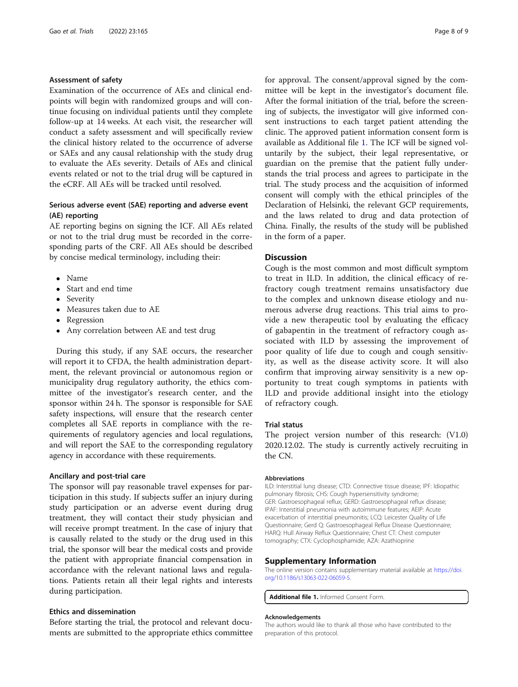## Assessment of safety

Examination of the occurrence of AEs and clinical endpoints will begin with randomized groups and will continue focusing on individual patients until they complete follow-up at 14 weeks. At each visit, the researcher will conduct a safety assessment and will specifically review the clinical history related to the occurrence of adverse or SAEs and any causal relationship with the study drug to evaluate the AEs severity. Details of AEs and clinical events related or not to the trial drug will be captured in the eCRF. All AEs will be tracked until resolved.

## Serious adverse event (SAE) reporting and adverse event (AE) reporting

AE reporting begins on signing the ICF. All AEs related or not to the trial drug must be recorded in the corresponding parts of the CRF. All AEs should be described by concise medical terminology, including their:

- Name
- Start and end time
- Severity
- Measures taken due to AE
- Regression
- Any correlation between AE and test drug

During this study, if any SAE occurs, the researcher will report it to CFDA, the health administration department, the relevant provincial or autonomous region or municipality drug regulatory authority, the ethics committee of the investigator's research center, and the sponsor within 24 h. The sponsor is responsible for SAE safety inspections, will ensure that the research center completes all SAE reports in compliance with the requirements of regulatory agencies and local regulations, and will report the SAE to the corresponding regulatory agency in accordance with these requirements.

#### Ancillary and post-trial care

The sponsor will pay reasonable travel expenses for participation in this study. If subjects suffer an injury during study participation or an adverse event during drug treatment, they will contact their study physician and will receive prompt treatment. In the case of injury that is causally related to the study or the drug used in this trial, the sponsor will bear the medical costs and provide the patient with appropriate financial compensation in accordance with the relevant national laws and regulations. Patients retain all their legal rights and interests during participation.

## Ethics and dissemination

Before starting the trial, the protocol and relevant documents are submitted to the appropriate ethics committee for approval. The consent/approval signed by the committee will be kept in the investigator's document file. After the formal initiation of the trial, before the screening of subjects, the investigator will give informed consent instructions to each target patient attending the clinic. The approved patient information consent form is available as Additional file 1. The ICF will be signed voluntarily by the subject, their legal representative, or guardian on the premise that the patient fully understands the trial process and agrees to participate in the trial. The study process and the acquisition of informed consent will comply with the ethical principles of the Declaration of Helsinki, the relevant GCP requirements, and the laws related to drug and data protection of China. Finally, the results of the study will be published in the form of a paper.

#### **Discussion**

Cough is the most common and most difficult symptom to treat in ILD. In addition, the clinical efficacy of refractory cough treatment remains unsatisfactory due to the complex and unknown disease etiology and numerous adverse drug reactions. This trial aims to provide a new therapeutic tool by evaluating the efficacy of gabapentin in the treatment of refractory cough associated with ILD by assessing the improvement of poor quality of life due to cough and cough sensitivity, as well as the disease activity score. It will also confirm that improving airway sensitivity is a new opportunity to treat cough symptoms in patients with ILD and provide additional insight into the etiology of refractory cough.

#### Trial status

The project version number of this research: (V1.0) 2020.12.02. The study is currently actively recruiting in the CN.

#### Abbreviations

ILD: Interstitial lung disease; CTD: Connective tissue disease; IPF: Idiopathic pulmonary fibrosis; CHS: Cough hypersensitivity syndrome; GER: Gastroesophageal reflux; GERD: Gastroesophageal reflux disease; IPAF: Interstitial pneumonia with autoimmune features; AEIP: Acute exacerbation of interstitial pneumonitis; LCQ: Leicester Quality of Life Questionnaire; Gerd Q: Gastroesophageal Reflux Disease Questionnaire; HARQ: Hull Airway Reflux Questionnaire; Chest CT: Chest computer tomography; CTX: Cyclophosphamide; AZA: Azathioprine

#### Supplementary Information

The online version contains supplementary material available at [https://doi.](https://doi.org/10.1186/s13063-022-06059-5) [org/10.1186/s13063-022-06059-5.](https://doi.org/10.1186/s13063-022-06059-5)

Additional file 1. Informed Consent Form.

#### Acknowledgements

The authors would like to thank all those who have contributed to the preparation of this protocol.